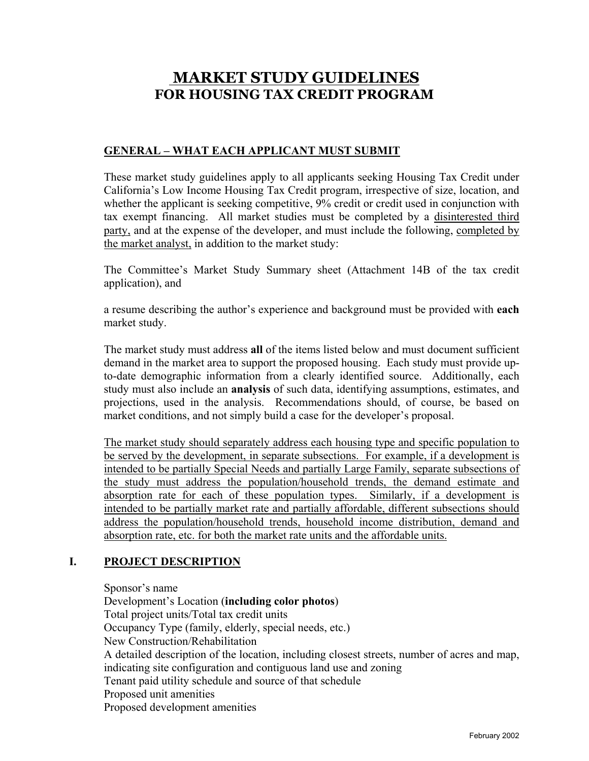# **MARKET STUDY GUIDELINES FOR HOUSING TAX CREDIT PROGRAM**

### **GENERAL – WHAT EACH APPLICANT MUST SUBMIT**

These market study guidelines apply to all applicants seeking Housing Tax Credit under California's Low Income Housing Tax Credit program, irrespective of size, location, and whether the applicant is seeking competitive, 9% credit or credit used in conjunction with tax exempt financing. All market studies must be completed by a disinterested third party, and at the expense of the developer, and must include the following, completed by the market analyst, in addition to the market study:

The Committee's Market Study Summary sheet (Attachment 14B of the tax credit application), and

a resume describing the author's experience and background must be provided with **each**  market study.

The market study must address **all** of the items listed below and must document sufficient demand in the market area to support the proposed housing. Each study must provide upto-date demographic information from a clearly identified source. Additionally, each study must also include an **analysis** of such data, identifying assumptions, estimates, and projections, used in the analysis. Recommendations should, of course, be based on market conditions, and not simply build a case for the developer's proposal.

The market study should separately address each housing type and specific population to be served by the development, in separate subsections. For example, if a development is intended to be partially Special Needs and partially Large Family, separate subsections of the study must address the population/household trends, the demand estimate and absorption rate for each of these population types. Similarly, if a development is intended to be partially market rate and partially affordable, different subsections should address the population/household trends, household income distribution, demand and absorption rate, etc. for both the market rate units and the affordable units.

# **I. PROJECT DESCRIPTION**

Sponsor's name Development's Location (**including color photos**) Total project units/Total tax credit units Occupancy Type (family, elderly, special needs, etc.) New Construction/Rehabilitation A detailed description of the location, including closest streets, number of acres and map, indicating site configuration and contiguous land use and zoning Tenant paid utility schedule and source of that schedule Proposed unit amenities Proposed development amenities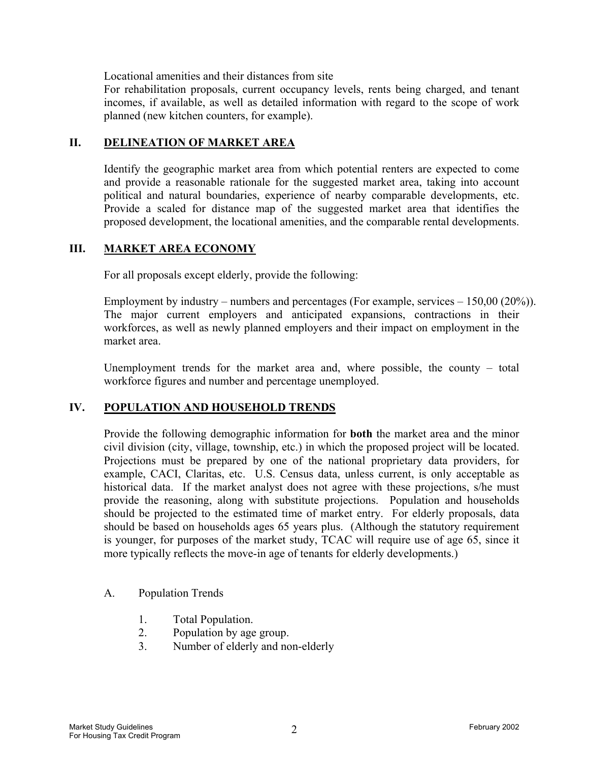Locational amenities and their distances from site

For rehabilitation proposals, current occupancy levels, rents being charged, and tenant incomes, if available, as well as detailed information with regard to the scope of work planned (new kitchen counters, for example).

#### **II. DELINEATION OF MARKET AREA**

Identify the geographic market area from which potential renters are expected to come and provide a reasonable rationale for the suggested market area, taking into account political and natural boundaries, experience of nearby comparable developments, etc. Provide a scaled for distance map of the suggested market area that identifies the proposed development, the locational amenities, and the comparable rental developments.

#### **III. MARKET AREA ECONOMY**

For all proposals except elderly, provide the following:

Employment by industry – numbers and percentages (For example, services  $-150,00(20\%)$ ). The major current employers and anticipated expansions, contractions in their workforces, as well as newly planned employers and their impact on employment in the market area.

Unemployment trends for the market area and, where possible, the county – total workforce figures and number and percentage unemployed.

#### **IV. POPULATION AND HOUSEHOLD TRENDS**

Provide the following demographic information for **both** the market area and the minor civil division (city, village, township, etc.) in which the proposed project will be located. Projections must be prepared by one of the national proprietary data providers, for example, CACI, Claritas, etc. U.S. Census data, unless current, is only acceptable as historical data. If the market analyst does not agree with these projections, s/he must provide the reasoning, along with substitute projections. Population and households should be projected to the estimated time of market entry. For elderly proposals, data should be based on households ages 65 years plus. (Although the statutory requirement is younger, for purposes of the market study, TCAC will require use of age 65, since it more typically reflects the move-in age of tenants for elderly developments.)

#### A. Population Trends

- 1. Total Population.
- 2. Population by age group.
- 3. Number of elderly and non-elderly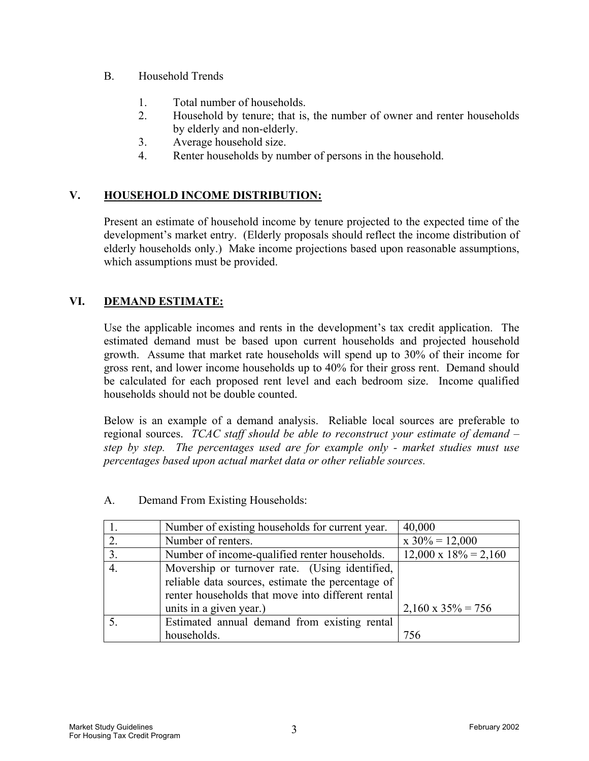- B. Household Trends
	- 1. Total number of households.
	- 2. Household by tenure; that is, the number of owner and renter households by elderly and non-elderly.
	- 3. Average household size.
	- 4. Renter households by number of persons in the household.

# **V. HOUSEHOLD INCOME DISTRIBUTION:**

Present an estimate of household income by tenure projected to the expected time of the development's market entry. (Elderly proposals should reflect the income distribution of elderly households only.) Make income projections based upon reasonable assumptions, which assumptions must be provided.

### **VI. DEMAND ESTIMATE:**

Use the applicable incomes and rents in the development's tax credit application. The estimated demand must be based upon current households and projected household growth. Assume that market rate households will spend up to 30% of their income for gross rent, and lower income households up to 40% for their gross rent. Demand should be calculated for each proposed rent level and each bedroom size. Income qualified households should not be double counted.

Below is an example of a demand analysis. Reliable local sources are preferable to regional sources. *TCAC staff should be able to reconstruct your estimate of demand – step by step. The percentages used are for example only - market studies must use percentages based upon actual market data or other reliable sources.*

|    | Number of existing households for current year.                                                                                                                                     | 40,000                       |
|----|-------------------------------------------------------------------------------------------------------------------------------------------------------------------------------------|------------------------------|
| 2. | Number of renters.                                                                                                                                                                  | $x 30\% = 12,000$            |
| 3. | Number of income-qualified renter households.                                                                                                                                       | $12,000 \times 18\% = 2,160$ |
|    | Movership or turnover rate. (Using identified,<br>reliable data sources, estimate the percentage of<br>renter households that move into different rental<br>units in a given year.) | $2,160 \times 35\% = 756$    |
|    | Estimated annual demand from existing rental                                                                                                                                        |                              |
|    | households.                                                                                                                                                                         |                              |

# A. Demand From Existing Households: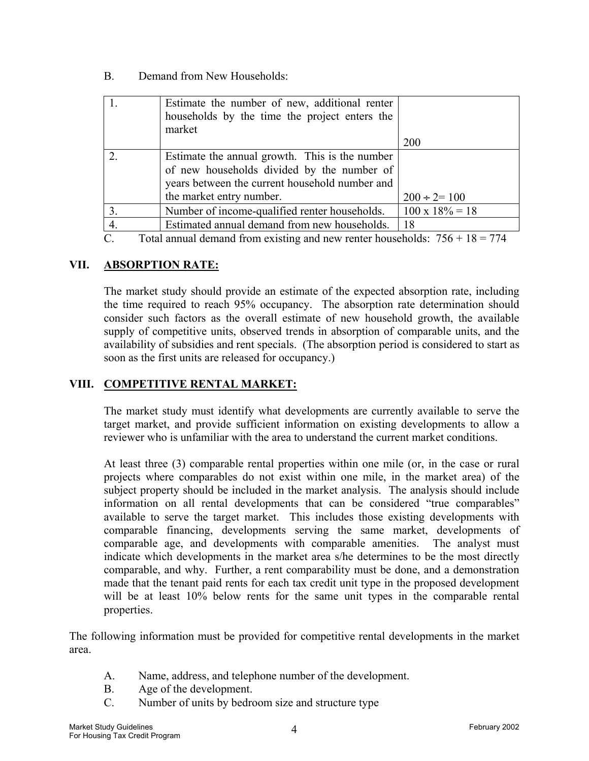B. Demand from New Households:

|                                                                                                                                                                                                                                                                   | Estimate the number of new, additional renter<br>households by the time the project enters the<br>market                                       | <b>200</b>             |  |
|-------------------------------------------------------------------------------------------------------------------------------------------------------------------------------------------------------------------------------------------------------------------|------------------------------------------------------------------------------------------------------------------------------------------------|------------------------|--|
|                                                                                                                                                                                                                                                                   | Estimate the annual growth. This is the number<br>of new households divided by the number of<br>years between the current household number and |                        |  |
|                                                                                                                                                                                                                                                                   | the market entry number.                                                                                                                       | $200 \div 2 = 100$     |  |
| $\mathfrak{Z}$                                                                                                                                                                                                                                                    | Number of income-qualified renter households.                                                                                                  | $100 \times 18\% = 18$ |  |
|                                                                                                                                                                                                                                                                   | Estimated annual demand from new households.                                                                                                   | -18                    |  |
| $T_{i+1}$ , $T_{i}$ , $T_{i+1}$ , $T_{i+1}$ , $T_{i+1}$ , $T_{i+1}$ , $T_{i+1}$ , $T_{i+1}$ , $T_{i+1}$ , $T_{i+1}$ , $T_{i+1}$ , $T_{i+1}$ , $T_{i+1}$ , $T_{i+1}$ , $T_{i+1}$ , $T_{i+1}$ , $T_{i+1}$ , $T_{i+1}$ , $T_{i+1}$ , $T_{i+1}$ , $T_{$<br>$\sqrt{ }$ |                                                                                                                                                |                        |  |

C. Total annual demand from existing and new renter households:  $756 + 18 = 774$ 

# **VII. ABSORPTION RATE:**

The market study should provide an estimate of the expected absorption rate, including the time required to reach 95% occupancy. The absorption rate determination should consider such factors as the overall estimate of new household growth, the available supply of competitive units, observed trends in absorption of comparable units, and the availability of subsidies and rent specials. (The absorption period is considered to start as soon as the first units are released for occupancy.)

# **VIII. COMPETITIVE RENTAL MARKET:**

The market study must identify what developments are currently available to serve the target market, and provide sufficient information on existing developments to allow a reviewer who is unfamiliar with the area to understand the current market conditions.

At least three (3) comparable rental properties within one mile (or, in the case or rural projects where comparables do not exist within one mile, in the market area) of the subject property should be included in the market analysis. The analysis should include information on all rental developments that can be considered "true comparables" available to serve the target market. This includes those existing developments with comparable financing, developments serving the same market, developments of comparable age, and developments with comparable amenities. The analyst must indicate which developments in the market area s/he determines to be the most directly comparable, and why. Further, a rent comparability must be done, and a demonstration made that the tenant paid rents for each tax credit unit type in the proposed development will be at least 10% below rents for the same unit types in the comparable rental properties.

The following information must be provided for competitive rental developments in the market area.

- A. Name, address, and telephone number of the development.
- B. Age of the development.
- C. Number of units by bedroom size and structure type